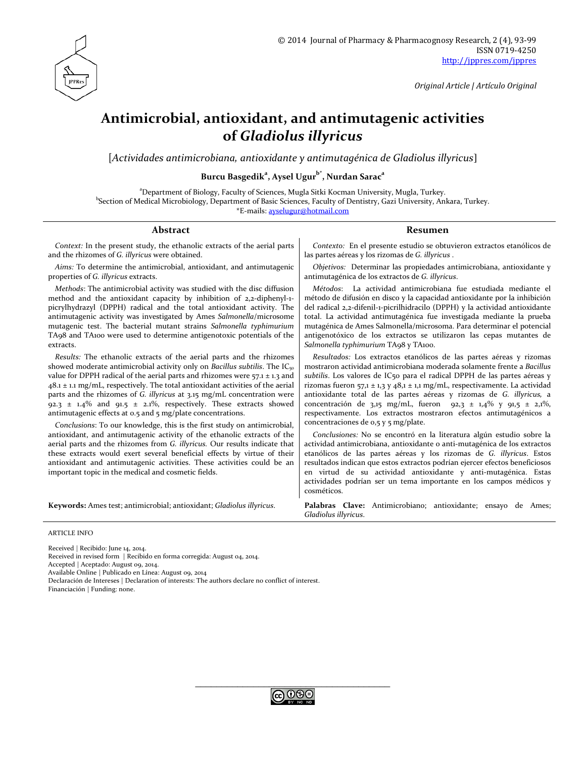

*Original Article | Artículo Original*

# **Antimicrobial, antioxidant, and antimutagenic activities of** *Gladiolus illyricus*

[*Actividades antimicrobiana, antioxidante y antimutagénica de Gladiolus illyricus*]

**Burcu Basgedik<sup>a</sup> , Aysel Ugurb\* , Nurdan Saraca**

<sup>a</sup>Department of Biology, Faculty of Sciences, Mugla Sitki Kocman University, Mugla, Turkey. b Section of Medical Microbiology, Department of Basic Sciences, Faculty of Dentistry, Gazi University, Ankara, Turkey. \*E-mails: [ayselugur@hotmail.com](mailto:ayselugur@hotmail.com)

#### **Abstract Resumen**

*Context:* In the present study, the ethanolic extracts of the aerial parts and the rhizomes of *G. illyricus* were obtained.

*Aims:* To determine the antimicrobial, antioxidant, and antimutagenic properties of *G. illyricus* extracts.

*Methods*: The antimicrobial activity was studied with the disc diffusion method and the antioxidant capacity by inhibition of 2,2-diphenyl-1 picrylhydrazyl (DPPH) radical and the total antioxidant activity. The antimutagenic activity was investigated by Ames *Salmonella*/microsome mutagenic test. The bacterial mutant strains *Salmonella typhimurium* TA98 and TA100 were used to determine antigenotoxic potentials of the extracts.

*Results:* The ethanolic extracts of the aerial parts and the rhizomes showed moderate antimicrobial activity only on *Bacillus subtilis*. The IC<sub>50</sub> value for DPPH radical of the aerial parts and rhizomes were  $57.1 \pm 1.3$  and  $48.1 \pm 1.1$  mg/mL, respectively. The total antioxidant activities of the aerial parts and the rhizomes of *G. illyricus* at 3.15 mg/mL concentration were 92.3  $\pm$  1.4% and 91.5  $\pm$  2.1%, respectively. These extracts showed antimutagenic effects at 0.5 and 5 mg/plate concentrations.

*Conclusions*: To our knowledge, this is the first study on antimicrobial, antioxidant, and antimutagenic activity of the ethanolic extracts of the aerial parts and the rhizomes from *G. illyricus.* Our results indicate that these extracts would exert several beneficial effects by virtue of their antioxidant and antimutagenic activities. These activities could be an important topic in the medical and cosmetic fields.

#### *Contexto:* En el presente estudio se obtuvieron extractos etanólicos de las partes aéreas y los rizomas de *G. illyricus* .

*Objetivos:* Determinar las propiedades antimicrobiana, antioxidante y antimutagénica de los extractos de *G. illyricus*.

*Métodos*: La actividad antimicrobiana fue estudiada mediante el método de difusión en disco y la capacidad antioxidante por la inhibición del radical 2,2-difenil-1-picrilhidracilo (DPPH) y la actividad antioxidante total. La actividad antimutagénica fue investigada mediante la prueba mutagénica de Ames Salmonella/microsoma. Para determinar el potencial antigenotóxico de los extractos se utilizaron las cepas mutantes de *Salmonella typhimurium* TA98 y TA100.

*Resultados:* Los extractos etanólicos de las partes aéreas y rizomas mostraron actividad antimicrobiana moderada solamente frente a *Bacillus subtilis*. Los valores de IC50 para el radical DPPH de las partes aéreas y rizomas fueron 57,1 ± 1,3 y 48,1 ± 1,1 mg/mL, respectivamente. La actividad antioxidante total de las partes aéreas y rizomas de *G. illyricus,* a concentración de 3,15 mg/mL, fueron 92,3 ± 1,4% y 91,5 ± 2,1%, respectivamente. Los extractos mostraron efectos antimutagénicos a concentraciones de 0,5 y 5 mg/plate.

*Conclusiones:* No se encontró en la literatura algún estudio sobre la actividad antimicrobiana, antioxidante o anti-mutagénica de los extractos etanólicos de las partes aéreas y los rizomas de *G. illyricus*. Estos resultados indican que estos extractos podrían ejercer efectos beneficiosos en virtud de su actividad antioxidante y anti-mutagénica. Estas actividades podrían ser un tema importante en los campos médicos y cosméticos.

**Keywords:** Ames test; antimicrobial; antioxidant; *Gladiolus illyricus*. **Palabras Clave:** Antimicrobiano; antioxidante; ensayo de Ames; *Gladiolus illyricus*.

#### ARTICLE INFO

Received | Recibido: June 14, 2014.

Received in revised form | Recibido en forma corregida: August 04, 2014.

Accepted | Aceptado: August 09, 2014.

Available Online | Publicado en Línea: August 09, 2014

Declaración de Intereses | Declaration of interests: The authors declare no conflict of interest.

Financiación | Funding: none.

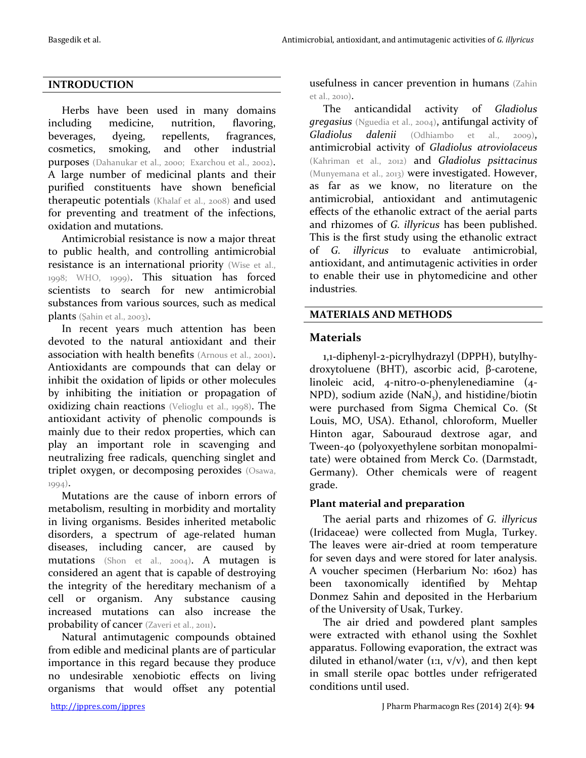## **INTRODUCTION**

Herbs have been used in many domains including medicine, nutrition, flavoring, beverages, dyeing, repellents, fragrances, cosmetics, smoking, and other industrial purposes (Dahanukar et al., 2000; Exarchou et al., 2002). A large number of medicinal plants and their purified constituents have shown beneficial therapeutic potentials (Khalaf et al., 2008) and used for preventing and treatment of the infections, oxidation and mutations.

Antimicrobial resistance is now a major threat to public health, and controlling antimicrobial resistance is an international priority (Wise et al., 1998; WHO, 1999). This situation has forced scientists to search for new antimicrobial substances from various sources, such as medical plants (Şahin et al., 2003).

In recent years much attention has been devoted to the natural antioxidant and their association with health benefits (Arnous et al., 2001). Antioxidants are compounds that can delay or inhibit the oxidation of lipids or other molecules by inhibiting the initiation or propagation of oxidizing chain reactions (Velioglu et al., 1998). The antioxidant activity of phenolic compounds is mainly due to their redox properties, which can play an important role in scavenging and neutralizing free radicals, quenching singlet and triplet oxygen, or decomposing peroxides (Osawa, 1994).

Mutations are the cause of inborn errors of metabolism, resulting in morbidity and mortality in living organisms. Besides inherited metabolic disorders, a spectrum of age-related human diseases, including cancer, are caused by mutations (Shon et al., 2004). A mutagen is considered an agent that is capable of destroying the integrity of the hereditary mechanism of a cell or organism. Any substance causing increased mutations can also increase the probability of cancer (Zaveri et al., 2011).

Natural antimutagenic compounds obtained from edible and medicinal plants are of particular importance in this regard because they produce no undesirable xenobiotic effects on living organisms that would offset any potential

usefulness in cancer prevention in humans (Zahin et al., 2010).

The anticandidal activity of *Gladiolus gregasius* (Nguedia et al., 2004), antifungal activity of *Gladiolus dalenii* (Odhiambo et al., 2009), antimicrobial activity of *Gladiolus atroviolaceus* (Kahriman et al., 2012) and *Gladiolus psittacinus* (Munyemana et al., 2013) were investigated. However, as far as we know, no literature on the antimicrobial, antioxidant and antimutagenic effects of the ethanolic extract of the aerial parts and rhizomes of *G. illyricus* has been published. This is the first study using the ethanolic extract of *G. illyricus* to evaluate antimicrobial, antioxidant, and antimutagenic activities in order to enable their use in phytomedicine and other industries.

#### **MATERIALS AND METHODS**

## **Materials**

1,1-diphenyl-2-picrylhydrazyl (DPPH), butylhydroxytoluene (BHT), ascorbic acid, β-carotene, linoleic acid, 4-nitro-o-phenylenediamine (4- NPD), sodium azide (NaN<sub>3</sub>), and histidine/biotin were purchased from Sigma Chemical Co. (St Louis, MO, USA). Ethanol, chloroform, Mueller Hinton agar, Sabouraud dextrose agar, and Tween-40 (polyoxyethylene sorbitan monopalmitate) were obtained from Merck Co. (Darmstadt, Germany). Other chemicals were of reagent grade.

## **Plant material and preparation**

The aerial parts and rhizomes of *G. illyricus* (Iridaceae) were collected from Mugla, Turkey. The leaves were air-dried at room temperature for seven days and were stored for later analysis. A voucher specimen (Herbarium No: 1602) has been taxonomically identified by Mehtap Donmez Sahin and deposited in the Herbarium of the University of Usak, Turkey.

The air dried and powdered plant samples were extracted with ethanol using the Soxhlet apparatus. Following evaporation, the extract was diluted in ethanol/water (1:1,  $v/v$ ), and then kept in small sterile opac bottles under refrigerated conditions until used.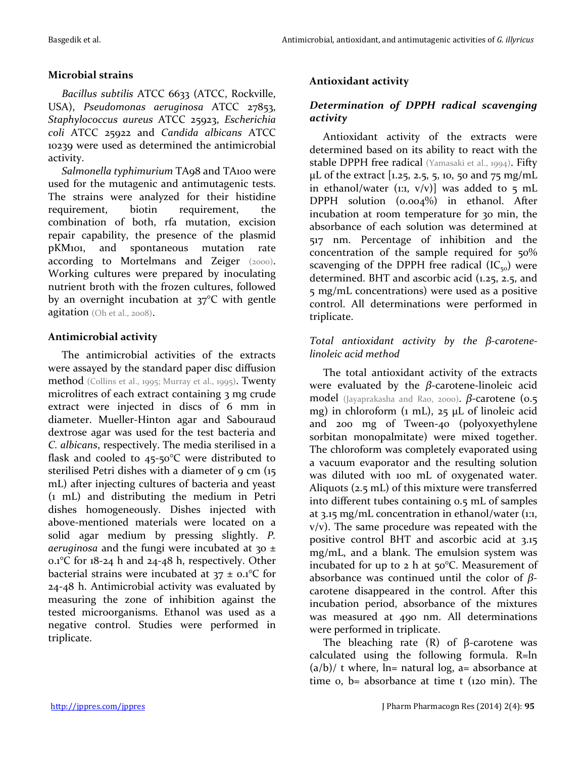#### **Microbial strains**

*Bacillus subtilis* ATCC 6633 (ATCC, Rockville, USA), *Pseudomonas aeruginosa* ATCC 27853, *Staphylococcus aureus* ATCC 25923, *Escherichia coli* ATCC 25922 and *Candida albicans* ATCC 10239 were used as determined the antimicrobial activity.

*Salmonella typhimurium* TA98 and TA100 were used for the mutagenic and antimutagenic tests. The strains were analyzed for their histidine requirement, biotin requirement, the combination of both, rfa mutation, excision repair capability, the presence of the plasmid pKM101, and spontaneous mutation rate according to Mortelmans and Zeiger (2000). Working cultures were prepared by inoculating nutrient broth with the frozen cultures, followed by an overnight incubation at 37°C with gentle agitation (Oh et al., 2008).

### **Antimicrobial activity**

The antimicrobial activities of the extracts were assayed by the standard paper disc diffusion method (Collins et al., 1995; Murray et al., 1995). Twenty microlitres of each extract containing 3 mg crude extract were injected in discs of 6 mm in diameter. Mueller-Hinton agar and Sabouraud dextrose agar was used for the test bacteria and *C. albicans*, respectively. The media sterilised in a flask and cooled to 45-50°C were distributed to sterilised Petri dishes with a diameter of 9 cm (15) mL) after injecting cultures of bacteria and yeast (1 mL) and distributing the medium in Petri dishes homogeneously. Dishes injected with above-mentioned materials were located on a solid agar medium by pressing slightly. *P. aeruginosa* and the fungi were incubated at 30 ± 0.1°C for 18-24 h and 24-48 h, respectively. Other bacterial strains were incubated at  $37 \pm 0.1$ °C for 24-48 h. Antimicrobial activity was evaluated by measuring the zone of inhibition against the tested microorganisms. Ethanol was used as a negative control. Studies were performed in triplicate.

## **Antioxidant activity**

## *Determination of DPPH radical scavenging activity*

Antioxidant activity of the extracts were determined based on its ability to react with the stable DPPH free radical (Yamasaki et al., 1994). Fifty  $\mu$ L of the extract [1.25, 2.5, 5, 10, 50 and 75 mg/mL in ethanol/water (1:1,  $v/v$ )] was added to 5 mL DPPH solution (0.004%) in ethanol. After incubation at room temperature for 30 min, the absorbance of each solution was determined at 517 nm. Percentage of inhibition and the concentration of the sample required for 50% scavenging of the DPPH free radical  $(IC_{50})$  were determined. BHT and ascorbic acid (1.25, 2.5, and 5 mg/mL concentrations) were used as a positive control. All determinations were performed in triplicate.

#### *Total antioxidant activity by the β-carotenelinoleic acid method*

The total antioxidant activity of the extracts were evaluated by the *β*-carotene-linoleic acid model (Jayaprakasha and Rao, 2000). *β***-carotene (0.5** mg) in chloroform (1 mL), 25 µL of linoleic acid and 200 mg of Tween-40 (polyoxyethylene sorbitan monopalmitate) were mixed together. The chloroform was completely evaporated using a vacuum evaporator and the resulting solution was diluted with 100 mL of oxygenated water. Aliquots (2.5 mL) of this mixture were transferred into different tubes containing 0.5 mL of samples at 3.15 mg/mL concentration in ethanol/water (1:1, v/v). The same procedure was repeated with the positive control BHT and ascorbic acid at 3.15 mg/mL, and a blank. The emulsion system was incubated for up to 2 h at 50°C. Measurement of absorbance was continued until the color of *β*carotene disappeared in the control. After this incubation period, absorbance of the mixtures was measured at 490 nm. All determinations were performed in triplicate.

The bleaching rate  $(R)$  of  $\beta$ -carotene was calculated using the following formula. R=ln  $(a/b)/t$  where, ln= natural log, a= absorbance at time 0, b= absorbance at time t (120 min). The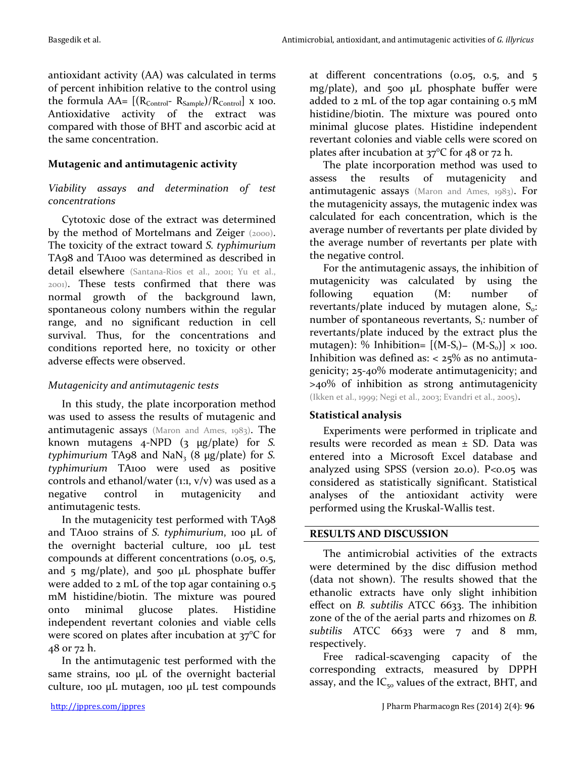antioxidant activity (AA) was calculated in terms of percent inhibition relative to the control using the formula  $AA = [(R_{Control} - R_{Sample})/R_{Control}]$  x 100. Antioxidative activity of the extract was compared with those of BHT and ascorbic acid at the same concentration.

# **Mutagenic and antimutagenic activity**

## *Viability assays and determination of test concentrations*

Cytotoxic dose of the extract was determined by the method of Mortelmans and Zeiger (2000). The toxicity of the extract toward *S. typhimurium* TA98 and TA100 was determined as described in detail elsewhere (Santana-Rios et al., 2001; Yu et al., 2001). These tests confirmed that there was normal growth of the background lawn, spontaneous colony numbers within the regular range, and no significant reduction in cell survival. Thus, for the concentrations and conditions reported here, no toxicity or other adverse effects were observed.

## *Mutagenicity and antimutagenic tests*

In this study, the plate incorporation method was used to assess the results of mutagenic and antimutagenic assays (Maron and Ames, 1983). The known mutagens 4-NPD (3 µg/plate) for *S. typhimurium* TA98 and NaN<sub>3</sub> (8  $\mu$ g/plate) for *S*. *typhimurium* TA100 were used as positive controls and ethanol/water  $(i, j, v/v)$  was used as a negative control in mutagenicity and antimutagenic tests.

In the mutagenicity test performed with TA98 and TA100 strains of *S. typhimurium*, 100 μL of the overnight bacterial culture, 100 μL test compounds at different concentrations (0.05, 0.5, and 5 mg/plate), and 500  $\mu$ L phosphate buffer were added to 2 mL of the top agar containing 0.5 mM histidine/biotin. The mixture was poured onto minimal glucose plates. Histidine independent revertant colonies and viable cells were scored on plates after incubation at 37°C for 48 or 72 h.

In the antimutagenic test performed with the same strains, 100 μL of the overnight bacterial culture, 100 μL mutagen, 100 μL test compounds

at different concentrations (0.05, 0.5, and 5 mg/plate), and 500 μL phosphate buffer were added to 2 mL of the top agar containing 0.5 mM histidine/biotin. The mixture was poured onto minimal glucose plates. Histidine independent revertant colonies and viable cells were scored on plates after incubation at 37°C for 48 or 72 h.

The plate incorporation method was used to assess the results of mutagenicity and antimutagenic assays (Maron and Ames, 1983). For the mutagenicity assays, the mutagenic index was calculated for each concentration, which is the average number of revertants per plate divided by the average number of revertants per plate with the negative control.

For the antimutagenic assays, the inhibition of mutagenicity was calculated by using the following equation (M: number of revertants/plate induced by mutagen alone,  $S_0$ : number of spontaneous revertants,  $S_i$ : number of revertants/plate induced by the extract plus the mutagen): % Inhibition=  $[(M-S_1) - (M-S_0)] \times 100$ . Inhibition was defined as:  $<$  25% as no antimutagenicity; 25-40% moderate antimutagenicity; and >40% of inhibition as strong antimutagenicity (Ikken et al., 1999; Negi et al., 2003; Evandri et al., 2005).

# **Statistical analysis**

Experiments were performed in triplicate and results were recorded as mean ± SD. Data was entered into a Microsoft Excel database and analyzed using SPSS (version 20.0). P<0.05 was considered as statistically significant. Statistical analyses of the antioxidant activity were performed using the Kruskal-Wallis test.

# **RESULTS AND DISCUSSION**

The antimicrobial activities of the extracts were determined by the disc diffusion method (data not shown). The results showed that the ethanolic extracts have only slight inhibition effect on *B. subtilis* ATCC 6633. The inhibition zone of the of the aerial parts and rhizomes on *B.*  subtilis ATCC 6633 were 7 and 8 mm, respectively.

Free radical-scavenging capacity of the corresponding extracts, measured by DPPH assay, and the  $IC_{50}$  values of the extract, BHT, and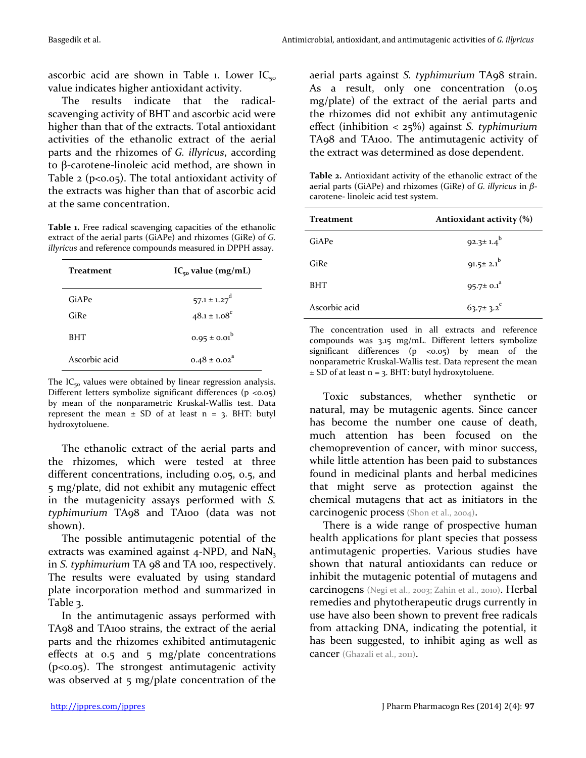ascorbic acid are shown in Table 1. Lower  $IC_{50}$ value indicates higher antioxidant activity.

The results indicate that the radicalscavenging activity of BHT and ascorbic acid were higher than that of the extracts. Total antioxidant activities of the ethanolic extract of the aerial parts and the rhizomes of *G. illyricus*, according to β-carotene-linoleic acid method, are shown in Table 2 ( $p<0.05$ ). The total antioxidant activity of the extracts was higher than that of ascorbic acid at the same concentration.

**Table 1.** Free radical scavenging capacities of the ethanolic extract of the aerial parts (GiAPe) and rhizomes (GiRe) of *G. illyricus* and reference compounds measured in DPPH assay.

| Treatment     | $IC_{50}$ value (mg/mL)      |  |  |
|---------------|------------------------------|--|--|
| GiAPe         | $57.1 \pm 1.27$ <sup>d</sup> |  |  |
| GiRe          | $48.1 \pm 1.08$ <sup>c</sup> |  |  |
| <b>BHT</b>    | $0.95 \pm 0.01^b$            |  |  |
| Ascorbic acid | $0.48 \pm 0.02$ <sup>a</sup> |  |  |

The  $IC_{50}$  values were obtained by linear regression analysis. Different letters symbolize significant differences  $(p \lt 0.05)$ by mean of the nonparametric Kruskal-Wallis test. Data represent the mean  $\pm$  SD of at least n = 3. BHT: butyl hydroxytoluene.

The ethanolic extract of the aerial parts and the rhizomes, which were tested at three different concentrations, including 0.05, 0.5, and 5 mg/plate, did not exhibit any mutagenic effect in the mutagenicity assays performed with *S. typhimurium* TA98 and TA100 (data was not shown).

The possible antimutagenic potential of the extracts was examined against  $4$ -NPD, and NaN<sub>3</sub> in *S. typhimurium* TA 98 and TA 100, respectively. The results were evaluated by using standard plate incorporation method and summarized in Table 3.

In the antimutagenic assays performed with TA98 and TA100 strains, the extract of the aerial parts and the rhizomes exhibited antimutagenic effects at 0.5 and 5 mg/plate concentrations (p<0.05). The strongest antimutagenic activity was observed at 5 mg/plate concentration of the

aerial parts against *S. typhimurium* TA98 strain. As a result, only one concentration (0.05) mg/plate) of the extract of the aerial parts and the rhizomes did not exhibit any antimutagenic effect (inhibition < 25%) against *S. typhimurium* TA98 and TA100. The antimutagenic activity of the extract was determined as dose dependent.

**Table 2.** Antioxidant activity of the ethanolic extract of the aerial parts (GiAPe) and rhizomes (GiRe) of *G. illyricus* in *β*carotene- linoleic acid test system.

| <b>Treatment</b> | Antioxidant activity (%)    |  |  |
|------------------|-----------------------------|--|--|
| GiAPe            | $92.3 \pm 1.4^{b}$          |  |  |
| GiRe             | 91.5± $2.1^b$               |  |  |
| <b>BHT</b>       | 95.7 $\pm$ 0.1 <sup>a</sup> |  |  |
| Ascorbic acid    | $63.7 \pm 3.2$              |  |  |

The concentration used in all extracts and reference compounds was 3.15 mg/mL. Different letters symbolize significant differences  $(p \lt 0.05)$  by mean of the nonparametric Kruskal-Wallis test. Data represent the mean ± SD of at least n = 3. BHT: butyl hydroxytoluene.

Toxic substances, whether synthetic or natural, may be mutagenic agents. Since cancer has become the number one cause of death, much attention has been focused on the chemoprevention of cancer, with minor success, while little attention has been paid to substances found in medicinal plants and herbal medicines that might serve as protection against the chemical mutagens that act as initiators in the carcinogenic process (Shon et al., 2004).

There is a wide range of prospective human health applications for plant species that possess antimutagenic properties. Various studies have shown that natural antioxidants can reduce or inhibit the mutagenic potential of mutagens and carcinogens (Negi et al., 2003; Zahin et al., 2010). Herbal remedies and phytotherapeutic drugs currently in use have also been shown to prevent free radicals from attacking DNA, indicating the potential, it has been suggested, to inhibit aging as well as cancer (Ghazali et al., 2011).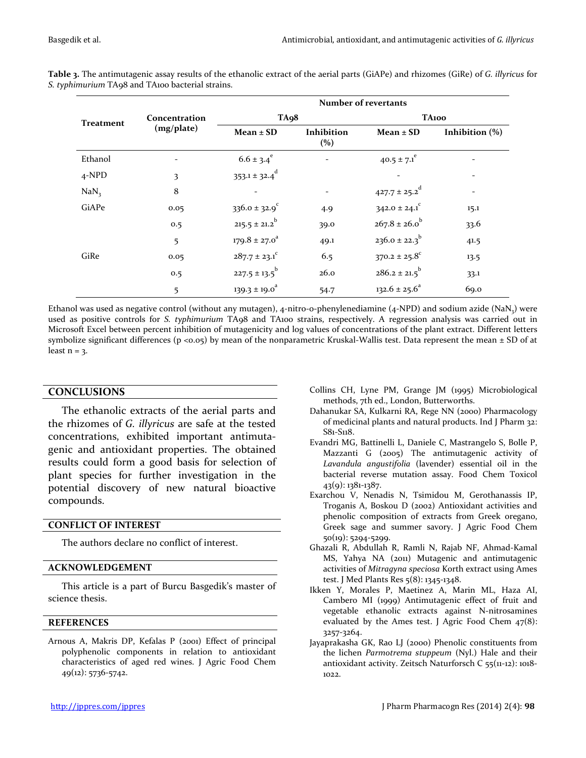| <b>Treatment</b> | Concentration<br>(mg/plate) | Number of revertants          |                   |                               |                   |
|------------------|-----------------------------|-------------------------------|-------------------|-------------------------------|-------------------|
|                  |                             | TA <sub>9</sub> 8             |                   | <b>TA100</b>                  |                   |
|                  |                             | $Mean \pm SD$                 | Inhibition<br>(%) | $Mean \pm SD$                 | Inhibition $(\%)$ |
| Ethanol          |                             | $6.6 \pm 3.4^e$               |                   | $40.5 \pm 7.1$ <sup>e</sup>   |                   |
| 4-NPD            | 3                           | $353.1 \pm 32.4$ <sup>d</sup> |                   |                               |                   |
| NaN <sub>3</sub> | 8                           |                               |                   | $427.7 \pm 25.2$ <sup>d</sup> |                   |
| GiAPe            | 0.05                        | $336.0 \pm 32.9$ <sup>c</sup> | 4.9               | $342.0 \pm 24.1$ <sup>c</sup> | 15.1              |
|                  | 0.5                         | $215.5 \pm 21.2$ <sup>b</sup> | 39.0              | $267.8 \pm 26.0^b$            | 33.6              |
|                  | 5                           | $179.8 \pm 27.0^{\circ}$      | 49.1              | $236.0 \pm 22.3^{b}$          | 41.5              |
| GiRe             | 0.05                        | $287.7 \pm 23.1$ <sup>c</sup> | 6.5               | $370.2 \pm 25.8^{\circ}$      | 13.5              |
|                  | 0.5                         | $227.5 \pm 13.5$ <sup>b</sup> | 26.0              | $286.2 \pm 21.5$ <sup>b</sup> | 33.1              |
|                  | 5                           | $139.3 \pm 19.0^a$            | 54.7              | $132.6 \pm 25.6^a$            | 69.0              |

**Table 3.** The antimutagenic assay results of the ethanolic extract of the aerial parts (GiAPe) and rhizomes (GiRe) of *G. illyricus* for *S. typhimurium* TA98 and TA100 bacterial strains.

Ethanol was used as negative control (without any mutagen), 4-nitro-o-phenylenediamine ( $4$ -NPD) and sodium azide (NaN $,$ ) were used as positive controls for *S. typhimurium* TA98 and TA100 strains, respectively. A regression analysis was carried out in Microsoft Excel between percent inhibition of mutagenicity and log values of concentrations of the plant extract. Different letters symbolize significant differences ( $p \lt 0.05$ ) by mean of the nonparametric Kruskal-Wallis test. Data represent the mean  $\pm$  SD of at least  $n = 3$ .

#### **CONCLUSIONS**

The ethanolic extracts of the aerial parts and the rhizomes of *G. illyricus* are safe at the tested concentrations, exhibited important antimutagenic and antioxidant properties. The obtained results could form a good basis for selection of plant species for further investigation in the potential discovery of new natural bioactive compounds.

#### **CONFLICT OF INTEREST**

The authors declare no conflict of interest.

#### **ACKNOWLEDGEMENT**

This article is a part of Burcu Basgedik's master of science thesis.

#### **REFERENCES**

Arnous A, Makris DP, Kefalas P (2001) Effect of principal polyphenolic components in relation to antioxidant characteristics of aged red wines. J Agric Food Chem 49(12): 5736-5742.

- Collins CH, Lyne PM, Grange JM (1995) Microbiological methods, 7th ed., London, Butterworths.
- Dahanukar SA, Kulkarni RA, Rege NN (2000) Pharmacology of medicinal plants and natural products. Ind J Pharm 32: S81-S118.
- Evandri MG, Battinelli L, Daniele C, Mastrangelo S, Bolle P, Mazzanti G (2005) The antimutagenic activity of *Lavandula angustifolia* (lavender) essential oil in the bacterial reverse mutation assay. Food Chem Toxicol 43(9): 1381-1387.
- Exarchou V, Nenadis N, Tsimidou M, Gerothanassis IP, Troganis A, Boskou D (2002) Antioxidant activities and phenolic composition of extracts from Greek oregano, Greek sage and summer savory. J Agric Food Chem 50(19): 5294-5299.
- Ghazali R, Abdullah R, Ramli N, Rajab NF, Ahmad-Kamal MS, Yahya NA (2011) Mutagenic and antimutagenic activities of *Mitragyna speciosa* Korth extract using Ames test. J Med Plants Res 5(8): 1345-1348.
- Ikken Y, Morales P, Maetinez A, Marin ML, Haza AI, Cambero MI (1999) Antimutagenic effect of fruit and vegetable ethanolic extracts against N-nitrosamines evaluated by the Ames test. J Agric Food Chem 47(8): 3257-3264.
- Jayaprakasha GK, Rao LJ (2000) Phenolic constituents from the lichen *Parmotrema stuppeum* (Nyl.) Hale and their antioxidant activity. Zeitsch Naturforsch C 55(11-12): 1018- 1022.